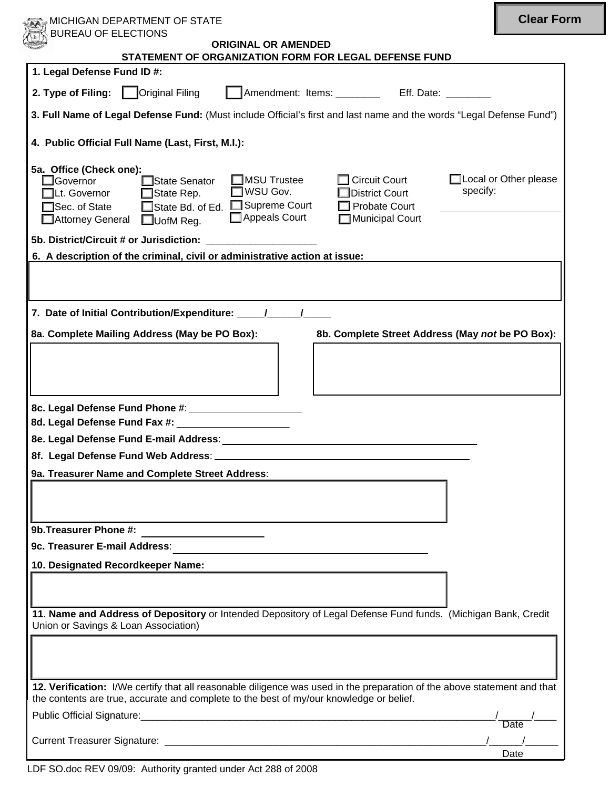| MICHIGAN DEPARTMENT OF STATE                                                                                                                                                                                                                                                                                                                                                                              | <b>Clear Form</b>            |
|-----------------------------------------------------------------------------------------------------------------------------------------------------------------------------------------------------------------------------------------------------------------------------------------------------------------------------------------------------------------------------------------------------------|------------------------------|
| <b>BUREAU OF ELECTIONS</b><br>ORIGINAL OR AMENDED                                                                                                                                                                                                                                                                                                                                                         |                              |
| STATEMENT OF ORGANIZATION FORM FOR LEGAL DEFENSE FUND<br>1. Legal Defense Fund ID #:                                                                                                                                                                                                                                                                                                                      |                              |
| 2. Type of Filing:<br>Amendment: Items: ___________ Eff. Date: ________                                                                                                                                                                                                                                                                                                                                   |                              |
| 3. Full Name of Legal Defense Fund: (Must include Official's first and last name and the words "Legal Defense Fund")                                                                                                                                                                                                                                                                                      |                              |
| 4. Public Official Full Name (Last, First, M.I.):                                                                                                                                                                                                                                                                                                                                                         |                              |
| 5a. Office (Check one):<br>$\Box$ MSU Trustee<br><b>Circuit Court</b><br>State Senator<br><b>I</b> Governor<br>specify:<br>$\Box$ WSU Gov.<br><b>District Court</b><br>State Rep.<br>Lt. Governor<br>□State Bd. of Ed. □Supreme Court<br><b>Probate Court</b><br>Sec. of State<br>Appeals Court<br>□ Municipal Court<br>□ Attorney General<br>$\Box$ UofM Reg.<br>5b. District/Circuit # or Jurisdiction: | $\Box$ Local or Other please |
| 6. A description of the criminal, civil or administrative action at issue:                                                                                                                                                                                                                                                                                                                                |                              |
|                                                                                                                                                                                                                                                                                                                                                                                                           |                              |
| 7. Date of Initial Contribution/Expenditure: \[\stanglenger 0.1<br>8a. Complete Mailing Address (May be PO Box):<br>8b. Complete Street Address (May not be PO Box):                                                                                                                                                                                                                                      |                              |
| 8d. Legal Defense Fund Fax #: \\cdot \\sqrt{\sqrt{\sqrt{\sqrt{\sqrt{\sqrt{\sqrt{\sqrt{\sqrt{\sqrt{\sqrt{\sqrt{\sqrt{\sqrt{\sqrt{\sqrt{\sqrt{\sqrt{\sqrt{\sqrt{\sqrt{\sqrt{\sqrt{\sqrt{\sqrt{\sqrt{\sqrt{\sqrt{\sqrt{\sqrt{\sqr<br>8e. Legal Defense Fund E-mail Address:                                                                                                                                  |                              |
| 9a. Treasurer Name and Complete Street Address:                                                                                                                                                                                                                                                                                                                                                           |                              |
|                                                                                                                                                                                                                                                                                                                                                                                                           |                              |
| 9b. Treasurer Phone #:<br><u> 1980 - Jan Barnett, fransk politik (</u>                                                                                                                                                                                                                                                                                                                                    |                              |
| 9c. Treasurer E-mail Address:                                                                                                                                                                                                                                                                                                                                                                             |                              |
| 10. Designated Recordkeeper Name:                                                                                                                                                                                                                                                                                                                                                                         |                              |
| 11. Name and Address of Depository or Intended Depository of Legal Defense Fund funds. (Michigan Bank, Credit<br>Union or Savings & Loan Association)                                                                                                                                                                                                                                                     |                              |
|                                                                                                                                                                                                                                                                                                                                                                                                           |                              |
| 12. Verification: I/We certify that all reasonable diligence was used in the preparation of the above statement and that<br>the contents are true, accurate and complete to the best of my/our knowledge or belief.                                                                                                                                                                                       |                              |
|                                                                                                                                                                                                                                                                                                                                                                                                           | Date                         |
|                                                                                                                                                                                                                                                                                                                                                                                                           |                              |
|                                                                                                                                                                                                                                                                                                                                                                                                           | Date                         |

LDF SO.doc REV 09/09: Authority granted under Act 288 of 2008